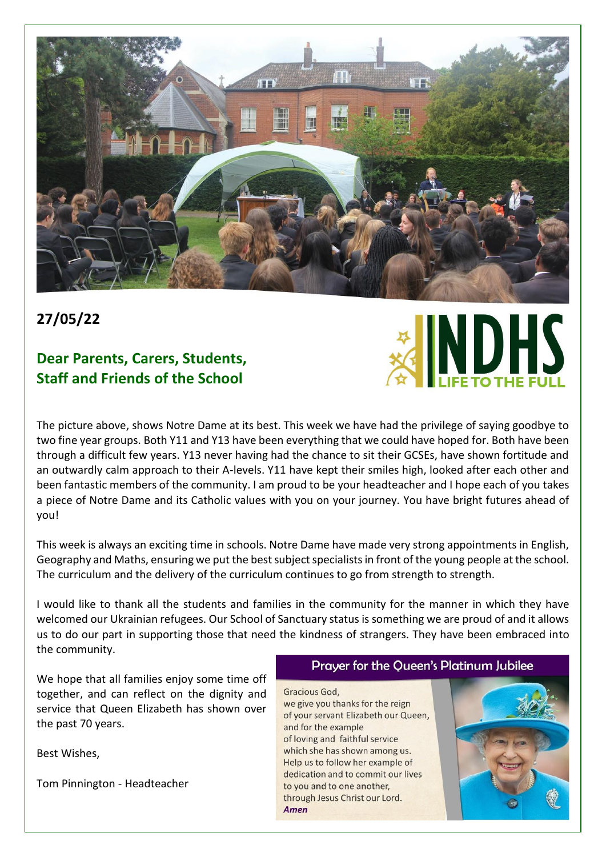

### **27/05/22**

### **Dear Parents, Carers, Students, Staff and Friends of the School**



The picture above, shows Notre Dame at its best. This week we have had the privilege of saying goodbye to two fine year groups. Both Y11 and Y13 have been everything that we could have hoped for. Both have been through a difficult few years. Y13 never having had the chance to sit their GCSEs, have shown fortitude and an outwardly calm approach to their A-levels. Y11 have kept their smiles high, looked after each other and been fantastic members of the community. I am proud to be your headteacher and I hope each of you takes a piece of Notre Dame and its Catholic values with you on your journey. You have bright futures ahead of you!

This week is always an exciting time in schools. Notre Dame have made very strong appointments in English, Geography and Maths, ensuring we put the best subject specialistsin front of the young people at the school. The curriculum and the delivery of the curriculum continues to go from strength to strength.

I would like to thank all the students and families in the community for the manner in which they have welcomed our Ukrainian refugees. Our School of Sanctuary status is something we are proud of and it allows us to do our part in supporting those that need the kindness of strangers. They have been embraced into the community.

We hope that all families enjoy some time off together, and can reflect on the dignity and service that Queen Elizabeth has shown over the past 70 years.

Best Wishes,

Tom Pinnington - Headteacher

#### Prayer for the Queen's Platinum Jubilee

Gracious God. we give you thanks for the reign of your servant Elizabeth our Queen, and for the example of loving and faithful service which she has shown among us. Help us to follow her example of dedication and to commit our lives to you and to one another, through Jesus Christ our Lord. Amen

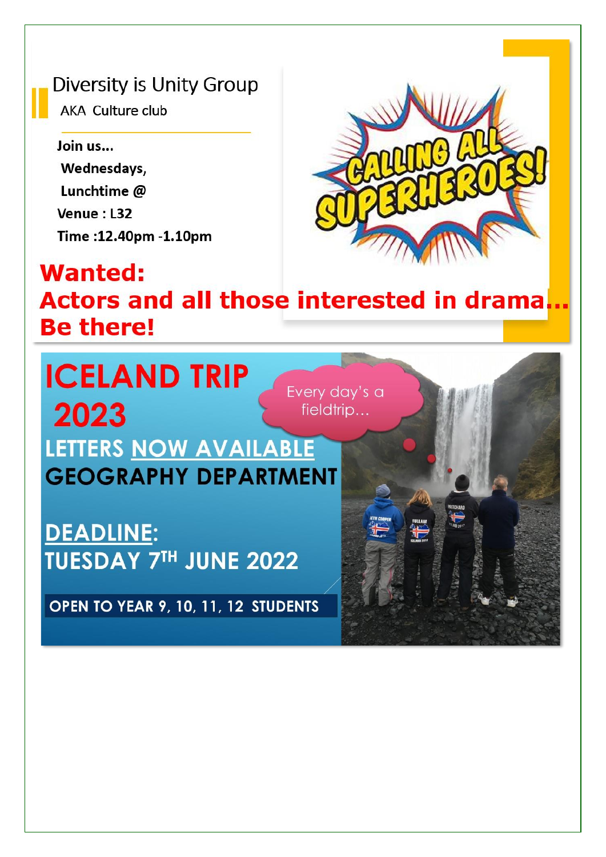## Diversity is Unity Group

AKA Culture club

## Join us... Wednesdays, Lunchtime @ Venue: L32 Time: 12.40pm - 1.10pm



# **Wanted: Actors and all those interested in drama Be there!**

**ICELAND TRIP** Every day's a 2023 fieldtrip... LETTERS NOW AVAILABLE **GEOGRAPHY DEPARTMENT** 

**DEADLINE: TUESDAY 7TH JUNE 2022** 

OPEN TO YEAR 9, 10, 11, 12 STUDENTS